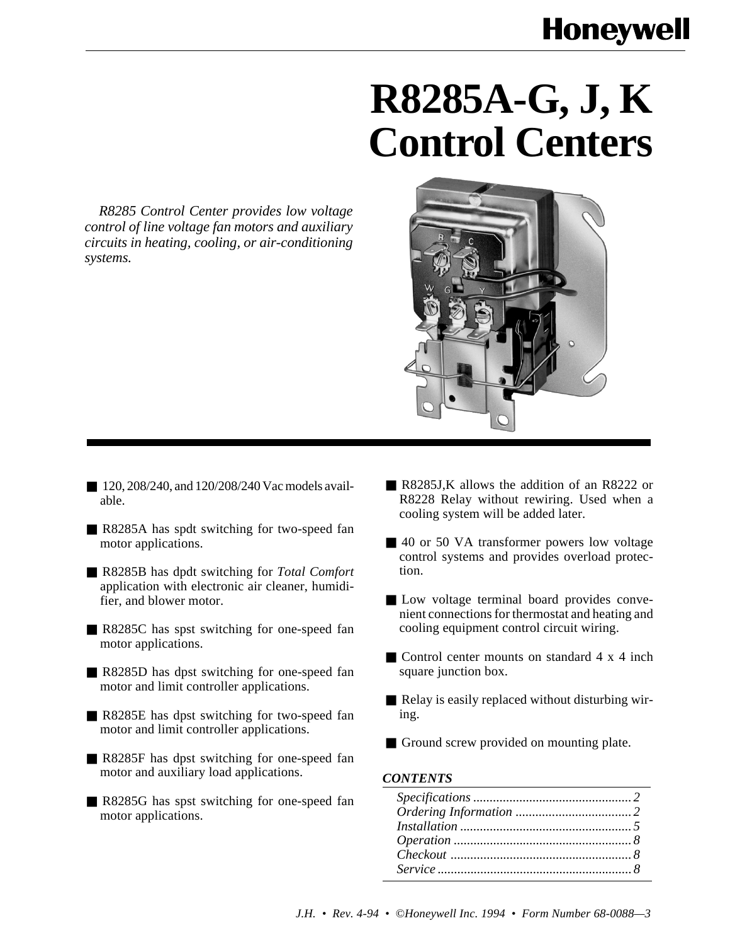# **R8285A-G, J, K Control Centers**

*R8285 Control Center provides low voltage control of line voltage fan motors and auxiliary circuits in heating, cooling, or air-conditioning systems.*



- 120, 208/240, and 120/208/240 Vac models available.
- R8285A has spdt switching for two-speed fan motor applications.
- R8285B has dpdt switching for *Total Comfort* application with electronic air cleaner, humidifier, and blower motor.
- R8285C has spst switching for one-speed fan motor applications.
- R8285D has dpst switching for one-speed fan motor and limit controller applications.
- R8285E has dpst switching for two-speed fan motor and limit controller applications.
- R8285F has dpst switching for one-speed fan motor and auxiliary load applications.
- R8285G has spst switching for one-speed fan motor applications.
- R8285J, K allows the addition of an R8222 or R8228 Relay without rewiring. Used when a cooling system will be added later.
- 40 or 50 VA transformer powers low voltage control systems and provides overload protection.
- Low voltage terminal board provides convenient connections for thermostat and heating and cooling equipment control circuit wiring.
- Control center mounts on standard 4 x 4 inch square junction box.
- Relay is easily replaced without disturbing wiring.
- Ground screw provided on mounting plate.

#### *CONTENTS*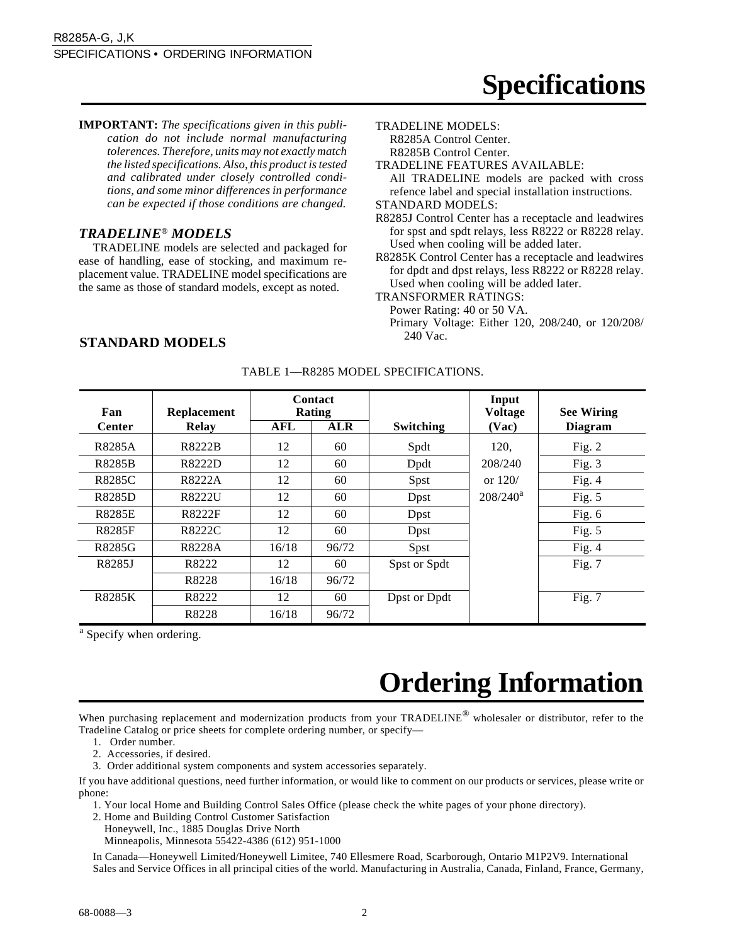**IMPORTANT:** *The specifications given in this publication do not include normal manufacturing tolerences. Therefore, units may not exactly match the listed specifications. Also, this product is tested and calibrated under closely controlled conditions, and some minor differences in performance can be expected if those conditions are changed.*

#### *TRADELINE® MODELS*

TRADELINE models are selected and packaged for ease of handling, ease of stocking, and maximum replacement value. TRADELINE model specifications are the same as those of standard models, except as noted.

TRADELINE MODELS:

R8285A Control Center.

R8285B Control Center.

TRADELINE FEATURES AVAILABLE:

All TRADELINE models are packed with cross refence label and special installation instructions.

STANDARD MODELS:

R8285J Control Center has a receptacle and leadwires for spst and spdt relays, less R8222 or R8228 relay. Used when cooling will be added later.

R8285K Control Center has a receptacle and leadwires for dpdt and dpst relays, less R8222 or R8228 relay. Used when cooling will be added later.

TRANSFORMER RATINGS:

Power Rating: 40 or 50 VA.

Primary Voltage: Either 120, 208/240, or 120/208/

### STANDARD MODELS<sup>240 Vac.</sup>

| Fan           | Replacement |       | <b>Contact</b><br>Rating |                  | Input<br><b>Voltage</b> | <b>See Wiring</b> |
|---------------|-------------|-------|--------------------------|------------------|-------------------------|-------------------|
| <b>Center</b> | Relay       | AFL   | <b>ALR</b>               | <b>Switching</b> | (Vac)                   | <b>Diagram</b>    |
| R8285A        | R8222B      | 12    | 60                       | Spdt             | 120,                    | Fig. $2$          |
| <b>R8285B</b> | R8222D      | 12    | 60                       | Dpdt             | 208/240                 | Fig. $3$          |
| R8285C        | R8222A      | 12    | 60                       | Spst             | or $120/$               | Fig. $4$          |
| R8285D        | R8222U      | 12    | 60                       | Dpst             | $208/240^a$             | Fig. $5$          |
| <b>R8285E</b> | R8222F      | 12    | 60                       | Dpst             |                         | Fig. $6$          |
| <b>R8285F</b> | R8222C      | 12    | 60                       | Dpst             |                         | Fig. $5$          |
| R8285G        | R8228A      | 16/18 | 96/72                    | Spst             |                         | Fig. $4$          |
| R8285J        | R8222       | 12    | 60                       | Spst or Spdt     |                         | Fig. 7            |
|               | R8228       | 16/18 | 96/72                    |                  |                         |                   |
| <b>R8285K</b> | R8222       | 12    | 60                       | Dpst or Dpdt     |                         | Fig. $7$          |
|               | R8228       | 16/18 | 96/72                    |                  |                         |                   |

#### TABLE 1—R8285 MODEL SPECIFICATIONS.

<sup>a</sup> Specify when ordering.

## **Ordering Information**

When purchasing replacement and modernization products from your TRADELINE<sup>®</sup> wholesaler or distributor, refer to the Tradeline Catalog or price sheets for complete ordering number, or specify—

- 1. Order number.
- 2. Accessories, if desired.
- 3. Order additional system components and system accessories separately.

If you have additional questions, need further information, or would like to comment on our products or services, please write or phone:

1. Your local Home and Building Control Sales Office (please check the white pages of your phone directory).

2. Home and Building Control Customer Satisfaction

Honeywell, Inc., 1885 Douglas Drive North

Minneapolis, Minnesota 55422-4386 (612) 951-1000

In Canada—Honeywell Limited/Honeywell Limitee, 740 Ellesmere Road, Scarborough, Ontario M1P2V9. International Sales and Service Offices in all principal cities of the world. Manufacturing in Australia, Canada, Finland, France, Germany,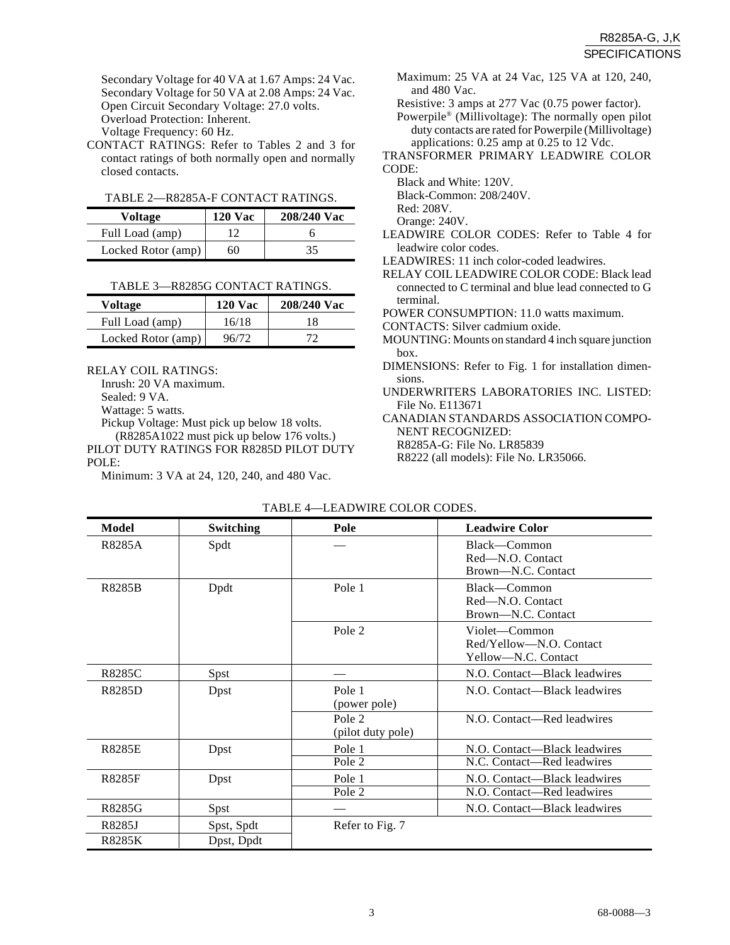Secondary Voltage for 40 VA at 1.67 Amps: 24 Vac. Secondary Voltage for 50 VA at 2.08 Amps: 24 Vac. Open Circuit Secondary Voltage: 27.0 volts. Overload Protection: Inherent. Voltage Frequency: 60 Hz.

CONTACT RATINGS: Refer to Tables 2 and 3 for contact ratings of both normally open and normally closed contacts.

|  | TABLE 2—R8285A-F CONTACT RATINGS. |
|--|-----------------------------------|
|  |                                   |

| Voltage            | <b>120 Vac</b> | 208/240 Vac |
|--------------------|----------------|-------------|
| Full Load (amp)    | 12             |             |
| Locked Rotor (amp) | 60             | 35          |

|--|

| Voltage            | <b>120 Vac</b> | 208/240 Vac |
|--------------------|----------------|-------------|
| Full Load (amp)    | 16/18          | 18          |
| Locked Rotor (amp) | 96/72          | 72          |

RELAY COIL RATINGS:

Inrush: 20 VA maximum.

Sealed: 9 VA.

Wattage: 5 watts.

Pickup Voltage: Must pick up below 18 volts. (R8285A1022 must pick up below 176 volts.)

PILOT DUTY RATINGS FOR R8285D PILOT DUTY POLE:

Minimum: 3 VA at 24, 120, 240, and 480 Vac.

- Maximum: 25 VA at 24 Vac, 125 VA at 120, 240, and 480 Vac.
- Resistive: 3 amps at 277 Vac (0.75 power factor).
- Powerpile® (Millivoltage): The normally open pilot duty contacts are rated for Powerpile (Millivoltage) applications: 0.25 amp at 0.25 to 12 Vdc.
- TRANSFORMER PRIMARY LEADWIRE COLOR CODE:

Black and White: 120V.

Black-Common: 208/240V.

Red: 208V.

Orange: 240V.

- LEADWIRE COLOR CODES: Refer to Table 4 for leadwire color codes.
- LEADWIRES: 11 inch color-coded leadwires.
- RELAY COIL LEADWIRE COLOR CODE: Black lead connected to C terminal and blue lead connected to G terminal.

POWER CONSUMPTION: 11.0 watts maximum.

CONTACTS: Silver cadmium oxide.

- MOUNTING: Mounts on standard 4 inch square junction box.
- DIMENSIONS: Refer to Fig. 1 for installation dimensions.
- UNDERWRITERS LABORATORIES INC. LISTED: File No. E113671

CANADIAN STANDARDS ASSOCIATION COMPO-NENT RECOGNIZED:

R8285A-G: File No. LR85839

R8222 (all models): File No. LR35066.

| Model         | <b>Switching</b> | Pole                        | <b>Leadwire Color</b>                                           |
|---------------|------------------|-----------------------------|-----------------------------------------------------------------|
| R8285A        | Spdt             |                             | Black—Common<br>Red-N.O. Contact<br>Brown-N.C. Contact          |
| <b>R8285B</b> | Dpdt             | Pole 1                      | Black—Common<br>Red-N.O. Contact<br>Brown-N.C. Contact          |
|               |                  | Pole 2                      | Violet—Common<br>Red/Yellow-N.O. Contact<br>Yellow-N.C. Contact |
| R8285C        | Spst             |                             | N.O. Contact—Black leadwires                                    |
| R8285D        | Dpst             | Pole 1<br>(power pole)      | N.O. Contact—Black leadwires                                    |
|               |                  | Pole 2<br>(pilot duty pole) | N.O. Contact—Red leadwires                                      |
| <b>R8285E</b> | Dpst             | Pole 1<br>Pole 2            | N.O. Contact—Black leadwires<br>N.C. Contact—Red leadwires      |
| R8285F        | Dpst             | Pole 1<br>Pole 2            | N.O. Contact—Black leadwires<br>N.O. Contact-Red leadwires      |
| R8285G        | Spst             |                             | N.O. Contact—Black leadwires                                    |
| R8285J        | Spst, Spdt       | Refer to Fig. 7             |                                                                 |
| <b>R8285K</b> | Dpst, Dpdt       |                             |                                                                 |

TABLE 4—LEADWIRE COLOR CODES.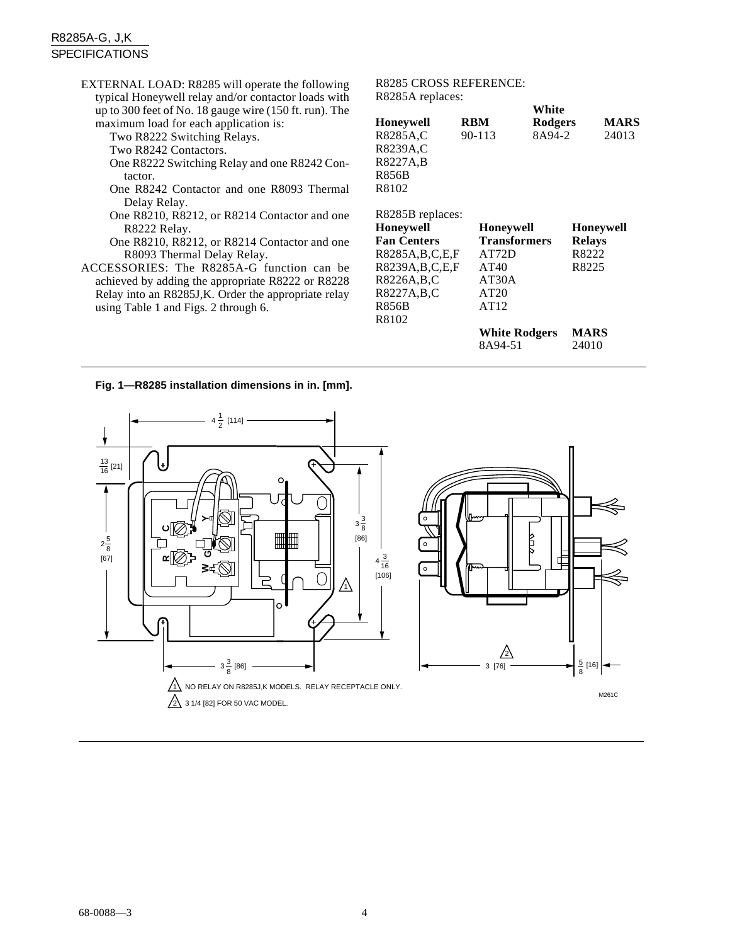#### R8285A-G, J,K SPECIFICATIONS

EXTERNAL LOAD: R8285 will operate the following typical Honeywell relay and/or contactor loads with up to 300 feet of No. 18 gauge wire (150 ft. run). The maximum load for each application is: Two R8222 Switching Relays. Two R8242 Contactors. One R8222 Switching Relay and one R8242 Contactor. One R8242 Contactor and one R8093 Thermal Delay Relay. One R8210, R8212, or R8214 Contactor and one R8222 Relay. One R8210, R8212, or R8214 Contactor and one R8093 Thermal Delay Relay. ACCESSORIES: The R8285A-G function can be achieved by adding the appropriate R8222 or R8228 Relay into an R8285J,K. Order the appropriate relay using Table 1 and Figs. 2 through 6. R8285 CROSS REFERENCE: R8285A replaces: **White Honeywell RBM Rodgers MARS**<br>R8285A.C 90-113 8A94-2 24013 R8285A,C 90-113 8A94-2 24013 R8239A,C R8227A,B R856B R8102 R8285B replaces: R8226A,B,C AT30A R8227A,B,C AT20

| R8102              |                      |                  |
|--------------------|----------------------|------------------|
| R8285B replaces:   |                      |                  |
| Honeywell          | <b>Honeywell</b>     | <b>Honeywell</b> |
| <b>Fan Centers</b> | <b>Transformers</b>  | <b>Relays</b>    |
| R8285A,B,C,E,F     | AT72D                | R8222            |
| R8239A,B,C,E,F     | AT40                 | R8225            |
| R8226A,B,C         | AT30A                |                  |
| R8227A,B,C         | AT20                 |                  |
| R856B              | AT12                 |                  |
| R8102              |                      |                  |
|                    | <b>White Rodgers</b> | <b>MARS</b>      |
|                    | 8A94-51              | 24010            |
|                    |                      |                  |

#### **Fig. 1—R8285 installation dimensions in in. [mm].**

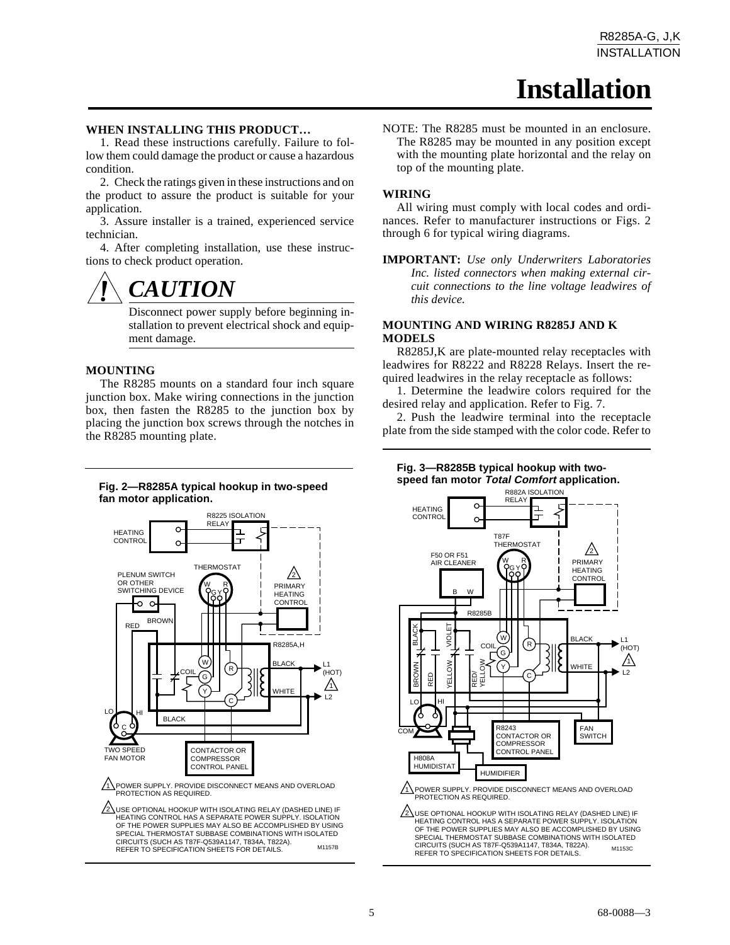### **Installation**

#### **WHEN INSTALLING THIS PRODUCT…**

1. Read these instructions carefully. Failure to follow them could damage the product or cause a hazardous condition.

2. Check the ratings given in these instructions and on the product to assure the product is suitable for your application.

3. Assure installer is a trained, experienced service technician.

4. After completing installation, use these instructions to check product operation.



Disconnect power supply before beginning installation to prevent electrical shock and equipment damage.

#### **MOUNTING**

The R8285 mounts on a standard four inch square junction box. Make wiring connections in the junction box, then fasten the R8285 to the junction box by placing the junction box screws through the notches in the R8285 mounting plate.

#### **Fig. 2—R8285A typical hookup in two-speed fan motor application.**



1\POWER SUPPLY. PROVIDE DISCONNECT MEANS AND OVERLOAD PROTECTION AS REQUIRED.

 $2\sqrt{2}$ USE OPTIONAL HOOKUP WITH ISOLATING RELAY (DASHED LINE) IF HEATING CONTROL HAS A SEPARATE POWER SUPPLY. ISOLATION OF THE POWER SUPPLIES MAY ALSO BE ACCOMPLISHED BY USING SPECIAL THERMOSTAT SUBBASE COMBINATIONS WITH ISOLATED CIRCUITS (SUCH AS T87F-Q539A1147, T834A, T822A). REFER TO SPECIFICATION SHEETS FOR DETAILS. M1157B

NOTE: The R8285 must be mounted in an enclosure. The R8285 may be mounted in any position except with the mounting plate horizontal and the relay on top of the mounting plate.

#### **WIRING**

All wiring must comply with local codes and ordinances. Refer to manufacturer instructions or Figs. 2 through 6 for typical wiring diagrams.

**IMPORTANT:** *Use only Underwriters Laboratories Inc. listed connectors when making external circuit connections to the line voltage leadwires of this device.*

#### **MOUNTING AND WIRING R8285J AND K MODELS**

R8285J,K are plate-mounted relay receptacles with leadwires for R8222 and R8228 Relays. Insert the required leadwires in the relay receptacle as follows:

1. Determine the leadwire colors required for the desired relay and application. Refer to Fig. 7.

2. Push the leadwire terminal into the receptacle plate from the side stamped with the color code. Refer to

#### **Fig. 3—R8285B typical hookup with twospeed fan motor Total Comfort application.**



1 POWER SUPPLY. PROVIDE DISCONNECT MEANS AND OVERLOAD PROTECTION AS REQUIRED.

 $2 \Delta$ USE OPTIONAL HOOKUP WITH ISOLATING RELAY (DASHED LINE) IF HEATING CONTROL HAS A SEPARATE POWER SUPPLY. ISOLATION OF THE POWER SUPPLIES MAY ALSO BE ACCOMPLISHED BY USING SPECIAL THERMOSTAT SUBBASE COMBINATIONS WITH ISOLATED CIRCUITS (SUCH AS T87F-Q539A1147, T834A, T822A). REFER TO SPECIFICATION SHEETS FOR DETAILS. M1153C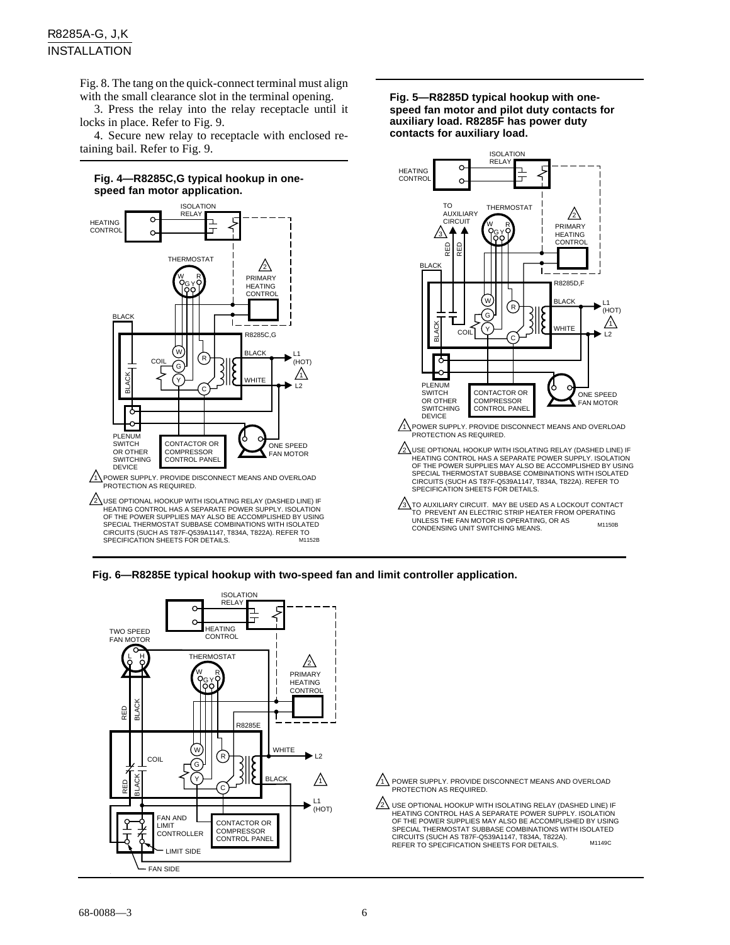Fig. 8. The tang on the quick-connect terminal must align with the small clearance slot in the terminal opening.

3. Press the relay into the relay receptacle until it locks in place. Refer to Fig. 9.

4. Secure new relay to receptacle with enclosed retaining bail. Refer to Fig. 9.



 $2 \backslash$ USE OPTIONAL HOOKUP WITH ISOLATING RELAY (DASHED LINE) IF HEATING CONTROL HAS A SEPARATE POWER SUPPLY. ISOLATION OF THE POWER SUPPLIES MAY ALSO BE ACCOMPLISHED BY USING SPECIAL THERMOSTAT SUBBASE COMBINATIONS WITH ISOLATED CIRCUITS (SUCH AS T87F-Q539A1147, T834A, T822A). REFER TO SPECIFICATION SHEETS FOR DETAILS. M1152B

**Fig. 5—R8285D typical hookup with onespeed fan motor and pilot duty contacts for auxiliary load. R8285F has power duty contacts for auxiliary load.**



**Fig. 6—R8285E typical hookup with two-speed fan and limit controller application.**



1\ POWER SUPPLY. PROVIDE DISCONNECT MEANS AND OVERLOAD PROTECTION AS REQUIRED.

USE OPTIONAL HOOKUP WITH ISOLATING RELAY (DASHED LINE) IF HEATING CONTROL HAS A SEPARATE POWER SUPPLY. ISOLATION 2 OF THE POWER SUPPLIES MAY ALSO BE ACCOMPLISHED BY USING SPECIAL THERMOSTAT SUBBASE COMBINATIONS WITH ISOLATED CIRCUITS (SUCH AS T87F-Q539A1147, T834A, T822A). REFER TO SPECIFICATION SHEETS FOR DETAILS. M1149C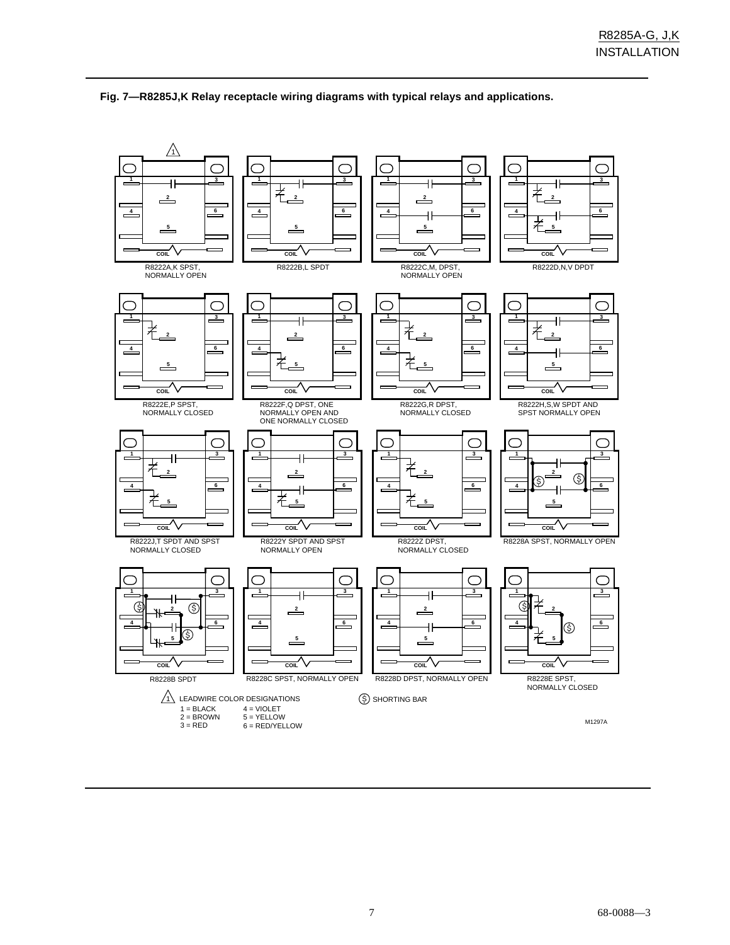

#### **Fig. 7—R8285J,K Relay receptacle wiring diagrams with typical relays and applications.**